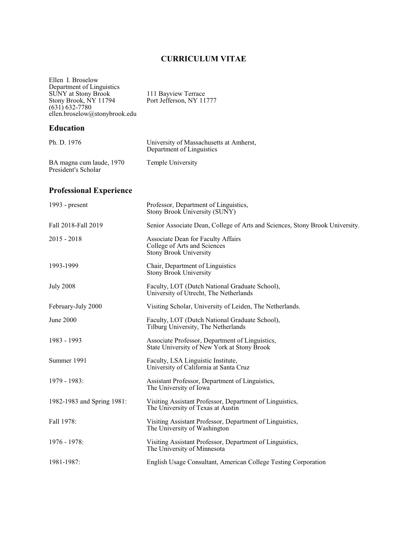# **CURRICULUM VITAE**

| Ellen I. Broselow<br>Department of Linguistics<br><b>SUNY</b> at Stony Brook<br>Stony Brook, NY 11794<br>$(631) 632 - 7780$<br>ellen.broselow@stonybrook.edu | 111 Bayview Terrace<br>Port Jefferson, NY 11777                                                     |
|--------------------------------------------------------------------------------------------------------------------------------------------------------------|-----------------------------------------------------------------------------------------------------|
| <b>Education</b>                                                                                                                                             |                                                                                                     |
| Ph. D. 1976                                                                                                                                                  | University of Massachusetts at Amherst,<br>Department of Linguistics                                |
| BA magna cum laude, 1970<br>President's Scholar                                                                                                              | Temple University                                                                                   |
| <b>Professional Experience</b>                                                                                                                               |                                                                                                     |
| 1993 - $present$                                                                                                                                             | Professor, Department of Linguistics,<br>Stony Brook University (SUNY)                              |
| Fall 2018-Fall 2019                                                                                                                                          | Senior Associate Dean, College of Arts and Sciences, Stony Brook University.                        |
| $2015 - 2018$                                                                                                                                                | Associate Dean for Faculty Affairs<br>College of Arts and Sciences<br><b>Stony Brook University</b> |
| 1993-1999                                                                                                                                                    | Chair, Department of Linguistics<br><b>Stony Brook University</b>                                   |
| <b>July 2008</b>                                                                                                                                             | Faculty, LOT (Dutch National Graduate School),<br>University of Utrecht, The Netherlands            |
| February-July 2000                                                                                                                                           | Visiting Scholar, University of Leiden, The Netherlands.                                            |
| June 2000                                                                                                                                                    | Faculty, LOT (Dutch National Graduate School),<br>Tilburg University, The Netherlands               |
| 1983 - 1993                                                                                                                                                  | Associate Professor, Department of Linguistics,<br>State University of New York at Stony Brook      |
| Summer 1991                                                                                                                                                  | Faculty, LSA Linguistic Institute,<br>University of California at Santa Cruz                        |
| 1979 - 1983:                                                                                                                                                 | Assistant Professor, Department of Linguistics,<br>The University of Iowa                           |
| 1982-1983 and Spring 1981:                                                                                                                                   | Visiting Assistant Professor, Department of Linguistics,<br>The University of Texas at Austin       |
| Fall 1978:                                                                                                                                                   | Visiting Assistant Professor, Department of Linguistics,<br>The University of Washington            |
| 1976 - 1978:                                                                                                                                                 | Visiting Assistant Professor, Department of Linguistics,<br>The University of Minnesota             |
| 1981-1987:                                                                                                                                                   | English Usage Consultant, American College Testing Corporation                                      |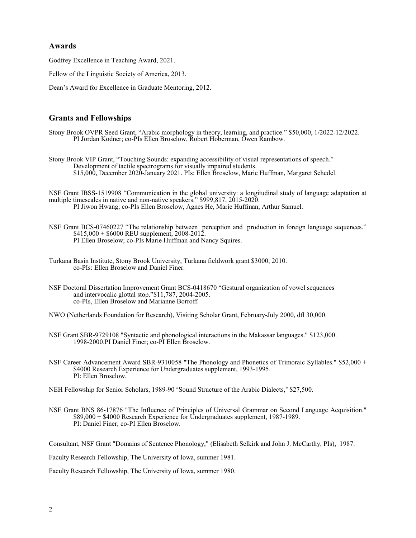# **Awards**

Godfrey Excellence in Teaching Award, 2021.

Fellow of the Linguistic Society of America, 2013.

Dean's Award for Excellence in Graduate Mentoring, 2012.

# **Grants and Fellowships**

Stony Brook OVPR Seed Grant, "Arabic morphology in theory, learning, and practice." \$50,000, 1/2022-12/2022. PI Jordan Kodner; co-PIs Ellen Broselow, Robert Hoberman, Owen Rambow.

Stony Brook VIP Grant, "Touching Sounds: expanding accessibility of visual representations of speech." Development of tactile spectrograms for visually impaired students. \$15,000, December 2020-January 2021. PIs: Ellen Broselow, Marie Huffman, Margaret Schedel.

NSF Grant IBSS-1519908 "Communication in the global university: a longitudinal study of language adaptation at multiple timescales in native and non-native speakers." \$999,817, 2015-2020. PI Jiwon Hwang; co-PIs Ellen Broselow, Agnes He, Marie Huffman, Arthur Samuel.

NSF Grant BCS-07460227 "The relationship between perception and production in foreign language sequences."  $$415,000 + $6000$  REU supplement, 2008-2012. PI Ellen Broselow; co-PIs Marie Huffman and Nancy Squires.

- Turkana Basin Institute, Stony Brook University, Turkana fieldwork grant \$3000, 2010. co-PIs: Ellen Broselow and Daniel Finer.
- NSF Doctoral Dissertation Improvement Grant BCS-0418670 "Gestural organization of vowel sequences and intervocalic glottal stop."\$11,787, 2004-2005. co-PIs, Ellen Broselow and Marianne Borroff.

NWO (Netherlands Foundation for Research), Visiting Scholar Grant, February-July 2000, dfl 30,000.

NSF Grant SBR-9729108 "Syntactic and phonological interactions in the Makassar languages." \$123,000. 1998-2000.PI Daniel Finer; co-PI Ellen Broselow.

NSF Career Advancement Award SBR-9310058 "The Phonology and Phonetics of Trimoraic Syllables." \$52,000 + \$4000 Research Experience for Undergraduates supplement, 1993-1995. PI: Ellen Broselow.

NEH Fellowship for Senior Scholars, 1989-90 "Sound Structure of the Arabic Dialects," \$27,500.

NSF Grant BNS 86-17876 "The Influence of Principles of Universal Grammar on Second Language Acquisition." \$89,000 + \$4000 Research Experience for Undergraduates supplement, 1987-1989. PI: Daniel Finer; co-PI Ellen Broselow.

Consultant, NSF Grant "Domains of Sentence Phonology," (Elisabeth Selkirk and John J. McCarthy, PIs), 1987.

Faculty Research Fellowship, The University of Iowa, summer 1981.

Faculty Research Fellowship, The University of Iowa, summer 1980.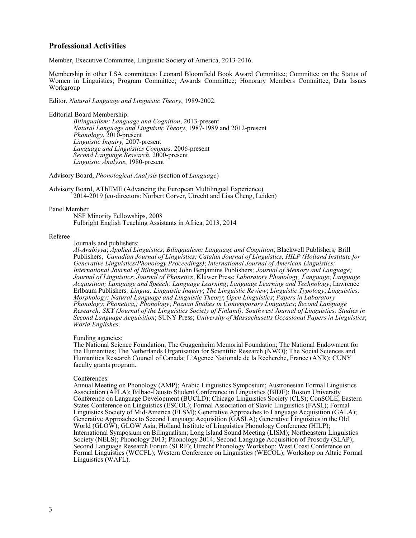### **Professional Activities**

Member, Executive Committee, Linguistic Society of America, 2013-2016.

Membership in other LSA committees: Leonard Bloomfield Book Award Committee; Committee on the Status of Women in Linguistics; Program Committee; Awards Committee; Honorary Members Committee, Data Issues Workgroup

Editor, *Natural Language and Linguistic Theory*, 1989-2002.

Editorial Board Membership:

*Bilingualism: Language and Cognition*, 2013-present *Natural Language and Linguistic Theory*, 1987-1989 and 2012-present *Phonology*, 2010-present *Linguistic Inquiry,* 2007-present *Language and Linguistics Compass,* 2006-present *Second Language Research*, 2000-present *Linguistic Analysis*, 1980-present

Advisory Board, *Phonological Analysis* (section of *Language*)

Advisory Board, AThEME (Advancing the European Multilingual Experience) 2014-2019 (co-directors: Norbert Corver, Utrecht and Lisa Cheng, Leiden)

#### Panel Member

NSF Minority Fellowships, 2008 Fulbright English Teaching Assistants in Africa, 2013, 2014

#### Referee

Journals and publishers:

*Al-Arabiyya*; *Applied Linguistics*; *Bilingualism: Language and Cognition*; Blackwell Publishers*;* Brill Publishers, *Canadian Journal of Linguistics; Catalan Journal of Linguistics, HILP (Holland Institute for Generative Linguistics/Phonology Proceedings)*; *International Journal of American Linguistics; International Journal of Bilingualism*; John Benjamins Publishers*; Journal of Memory and Language; Journal of Linguistics*; *Journal of Phonetics*, Kluwer Press; *Laboratory Phonology, Language*; *Language Acquisition; Language and Speech; Language Learning*; *Language Learning and Technology*; Lawrence Erlbaum Publishers*; Lingua; Linguistic Inquiry*; *The Linguistic Review*; *Linguistic Typology*; *Linguistics; Morphology; Natural Language and Linguistic Theory*; *Open Linguistics*; *Papers in Laboratory Phonology*; *Phonetica,; Phonology*; *Poznan Studies in Contemporary Linguistics*; *Second Language Research; SKY (Journal of the Linguistics Society of Finland); Southwest Journal of Linguistics; Studies in Second Language Acquisition*; SUNY Press; *University of Massachusetts Occasional Papers in Linguistics*; *World Englishes*.

#### Funding agencies:

The National Science Foundation; The Guggenheim Memorial Foundation; The National Endowment for the Humanities; The Netherlands Organisation for Scientific Research (NWO); The Social Sciences and Humanities Research Council of Canada; L'Agence Nationale de la Recherche, France (ANR); CUNY faculty grants program.

#### Conferences:

Annual Meeting on Phonology (AMP); Arabic Linguistics Symposium; Austronesian Formal Linguistics Association (AFLA); Bilbao-Deusto Student Conference in Linguistics (BIDE); Boston University Conference on Language Development (BUCLD); Chicago Linguistics Society (CLS); ConSOLE; Eastern States Conference on Linguistics (ESCOL); Formal Association of Slavic Linguistics (FASL); Formal Linguistics Society of Mid-America (FLSM); Generative Approaches to Language Acquisition (GALA); Generative Approaches to Second Language Acquisition (GASLA); Generative Linguistics in the Old World (GLOW); GLOW Asia; Holland Institute of Linguistics Phonology Conference (HILP); International Symposium on Bilingualism; Long Island Sound Meeting (LISM); Northeastern Linguistics Society (NELS); Phonology 2013; Phonology 2014; Second Language Acquisition of Prosody (SLAP); Second Language Research Forum (SLRF); Utrecht Phonology Workshop; West Coast Conference on Formal Linguistics (WCCFL); Western Conference on Linguistics (WECOL); Workshop on Altaic Formal Linguistics (WAFL).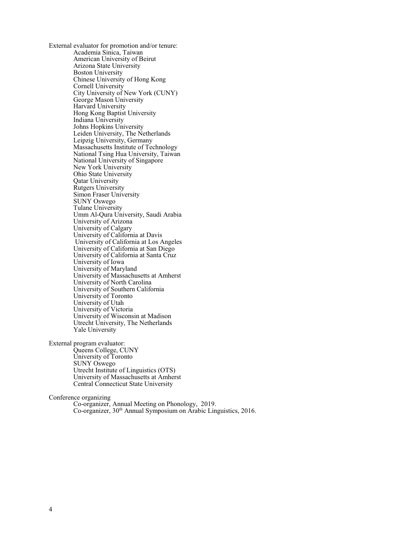External evaluator for promotion and/or tenure: Academia Sinica, Taiwan American University of Beirut Arizona State University Boston University Chinese University of Hong Kong Cornell University City University of New York (CUNY) George Mason University Harvard University Hong Kong Baptist University Indiana University Johns Hopkins University Leiden University, The Netherlands Leipzig University, Germany Massachusetts Institute of Technology National Tsing Hua University, Taiwan National University of Singapore New York University Ohio State University Qatar University Rutgers University Simon Fraser University SUNY Oswego Tulane University Umm Al-Qura University, Saudi Arabia University of Arizona University of Calgary University of California at Davis University of California at Los Angeles University of California at San Diego University of California at Santa Cruz University of Iowa University of Maryland University of Massachusetts at Amherst University of North Carolina University of Southern California University of Toronto University of Utah University of Victoria University of Wisconsin at Madison Utrecht University, The Netherlands Yale University

External program evaluator:

Queens College, CUNY University of Toronto SUNY Oswego Utrecht Institute of Linguistics (OTS) University of Massachusetts at Amherst Central Connecticut State University

Conference organizing

Co-organizer, Annual Meeting on Phonology, 2019. Co-organizer, 30<sup>th</sup> Annual Symposium on Arabic Linguistics, 2016.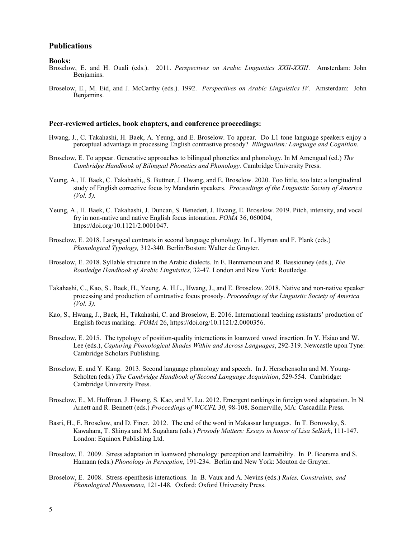# **Publications**

#### **Books:**

- Broselow, E. and H. Ouali (eds.). 2011. *Perspectives on Arabic Linguistics XXII-XXIII*. Amsterdam: John Benjamins.
- Broselow, E., M. Eid, and J. McCarthy (eds.). 1992. *Perspectives on Arabic Linguistics IV*. Amsterdam: John Benjamins.

#### **Peer-reviewed articles, book chapters, and conference proceedings:**

- Hwang, J., C. Takahashi, H. Baek, A. Yeung, and E. Broselow. To appear. Do L1 tone language speakers enjoy a perceptual advantage in processing English contrastive prosody? *Blingualism: Language and Cognition.*
- Broselow, E. To appear. Generative approaches to bilingual phonetics and phonology. In M Amengual (ed.) *The Cambridge Handbook of Bilingual Phonetics and Phonology.* Cambridge University Press.
- Yeung, A., H. Baek, C. Takahashi,, S. Buttner, J. Hwang, and E. Broselow. 2020. Too little, too late: a longitudinal study of English corrective focus by Mandarin speakers. *Proceedings of the Linguistic Society of America (Vol. 5).*
- Yeung, A., H. Baek, C. Takahashi, J. Duncan, S. Benedett, J. Hwang, E. Broselow. 2019. Pitch, intensity, and vocal fry in non-native and native English focus intonation. *POMA* 36, 060004, https://doi.org/10.1121/2.0001047.
- Broselow, E. 2018. Laryngeal contrasts in second language phonology. In L. Hyman and F. Plank (eds.) *Phonological Typology,* 312-340. Berlin/Boston: Walter de Gruyter.
- Broselow, E. 2018. Syllable structure in the Arabic dialects. In E. Benmamoun and R. Bassiouney (eds.), *The Routledge Handbook of Arabic Linguistics,* 32-47. London and New York: Routledge.
- Takahashi, C., Kao, S., Baek, H., Yeung, A. H.L., Hwang, J., and E. Broselow. 2018. Native and non-native speaker processing and production of contrastive focus prosody. *Proceedings of the Linguistic Society of America (Vol. 3).*
- Kao, S., Hwang, J., Baek, H., Takahashi, C. and Broselow, E. 2016. International teaching assistants' production of English focus marking. *POMA* 26, https://doi.org/10.1121/2.0000356.
- Broselow, E. 2015. The typology of position-quality interactions in loanword vowel insertion. In Y. Hsiao and W. Lee (eds.), *Capturing Phonological Shades Within and Across Languages*, 292-319. Newcastle upon Tyne: Cambridge Scholars Publishing.
- Broselow, E. and Y. Kang. 2013. Second language phonology and speech. In J. Herschensohn and M. Young-Scholten (eds.) *The Cambridge Handbook of Second Language Acquisition*, 529-554. Cambridge: Cambridge University Press.
- Broselow, E., M. Huffman, J. Hwang, S. Kao, and Y. Lu. 2012. Emergent rankings in foreign word adaptation. In N. Arnett and R. Bennett (eds.) *Proceedings of WCCFL 30*, 98-108. Somerville, MA: Cascadilla Press.
- Basri, H., E. Broselow, and D. Finer. 2012. The end of the word in Makassar languages. In T. Borowsky, S. Kawahara, T. Shinya and M. Sugahara (eds.) *Prosody Matters: Essays in honor of Lisa Selkirk*, 111-147. London: Equinox Publishing Ltd.
- Broselow, E. 2009. Stress adaptation in loanword phonology: perception and learnability. In P. Boersma and S. Hamann (eds.) *Phonology in Perception*, 191-234. Berlin and New York: Mouton de Gruyter.
- Broselow, E. 2008. Stress-epenthesis interactions. In B. Vaux and A. Nevins (eds.) *Rules, Constraints, and Phonological Phenomena,* 121-148*.* Oxford: Oxford University Press.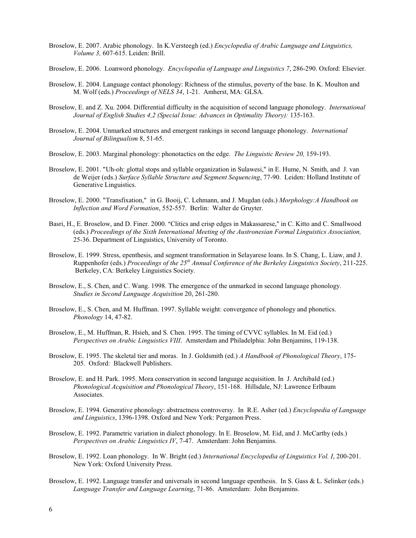- Broselow, E. 2007. Arabic phonology. In K.Versteegh (ed.) *Encyclopedia of Arabic Language and Linguistics, Volume 3,* 607-615. Leiden: Brill.
- Broselow, E. 2006. Loanword phonology. *Encyclopedia of Language and Linguistics 7*, 286-290. Oxford: Elsevier.
- Broselow, E. 2004. Language contact phonology: Richness of the stimulus, poverty of the base. In K. Moulton and M. Wolf (eds.) *Proceedings of NELS 34*, 1-21. Amherst, MA: GLSA.
- Broselow, E. and Z. Xu. 2004. Differential difficulty in the acquisition of second language phonology. *International Journal of English Studies 4,2 (Special Issue: Advances in Optimality Theory):* 135-163.
- Broselow, E. 2004. Unmarked structures and emergent rankings in second language phonology. *International Journal of Bilingualism* 8, 51-65.
- Broselow, E. 2003. Marginal phonology: phonotactics on the edge. *The Linguistic Review 20,* 159-193.
- Broselow, E. 2001. "Uh-oh: glottal stops and syllable organization in Sulawesi," in E. Hume, N. Smith, and J. van de Weijer (eds.) *Surface Syllable Structure and Segment Sequencing*, 77-90. Leiden: Holland Institute of Generative Linguistics.
- Broselow, E. 2000. "Transfixation," in G. Booij, C. Lehmann, and J. Mugdan (eds.) *Morphology:A Handbook on Inflection and Word Formation*, 552-557. Berlin: Walter de Gruyter.
- Basri, H., E. Broselow, and D. Finer. 2000. "Clitics and crisp edges in Makassarese," in C. Kitto and C. Smallwood (eds.) *Proceedings of the Sixth International Meeting of the Austronesian Formal Linguistics Association,*  25-36. Department of Linguistics, University of Toronto.
- Broselow, E. 1999. Stress, epenthesis, and segment transformation in Selayarese loans. In S. Chang, L. Liaw, and J. Ruppenhofer (eds.) *Proceedings of the 25 th Annual Conference of the Berkeley Linguistics Society*, 211-225. Berkeley, CA: Berkeley Linguistics Society.
- Broselow, E., S. Chen, and C. Wang. 1998. The emergence of the unmarked in second language phonology. *Studies in Second Language Acquisition* 20, 261-280.
- Broselow, E., S. Chen, and M. Huffman. 1997. Syllable weight: convergence of phonology and phonetics. *Phonology* 14, 47-82.
- Broselow, E., M. Huffman, R. Hsieh, and S. Chen. 1995. The timing of CVVC syllables. In M. Eid (ed.) *Perspectives on Arabic Linguistics VIII*. Amsterdam and Philadelphia: John Benjamins, 119-138.
- Broselow, E. 1995. The skeletal tier and moras. In J. Goldsmith (ed.) *A Handbook of Phonological Theory*, 175- 205. Oxford: Blackwell Publishers.
- Broselow, E. and H. Park. 1995. Mora conservation in second language acquisition. In J. Archibald (ed.) *Phonological Acquisition and Phonological Theory*, 151-168. Hillsdale, NJ: Lawrence Erlbaum Associates.
- Broselow, E. 1994. Generative phonology: abstractness controversy. In R.E. Asher (ed.) *Encyclopedia of Language and Linguistics*, 1396-1398. Oxford and New York: Pergamon Press.
- Broselow, E. 1992. Parametric variation in dialect phonology. In E. Broselow, M. Eid, and J. McCarthy (eds.) *Perspectives on Arabic Linguistics IV*, 7-47. Amsterdam: John Benjamins.
- Broselow, E. 1992. Loan phonology. In W. Bright (ed.) *International Encyclopedia of Linguistics Vol. I*, 200-201. New York: Oxford University Press.
- Broselow, E. 1992. Language transfer and universals in second language epenthesis. In S. Gass & L. Selinker (eds.) *Language Transfer and Language Learning*, 71-86. Amsterdam: John Benjamins.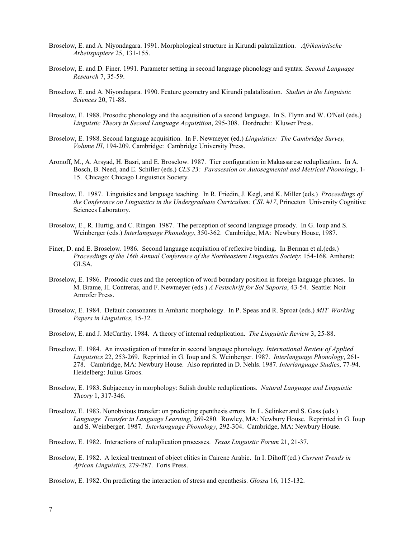- Broselow, E. and A. Niyondagara. 1991. Morphological structure in Kirundi palatalization. *Afrikanistische Arbeitspapiere* 25, 131-155.
- Broselow, E. and D. Finer. 1991. Parameter setting in second language phonology and syntax. *Second Language Research* 7, 35-59.
- Broselow, E. and A. Niyondagara. 1990. Feature geometry and Kirundi palatalization. *Studies in the Linguistic Sciences* 20, 71-88.
- Broselow, E. 1988. Prosodic phonology and the acquisition of a second language. In S. Flynn and W. O'Neil (eds.) *Linguistic Theory in Second Language Acquisition*, 295-308. Dordrecht: Kluwer Press.
- Broselow, E. 1988. Second language acquisition. In F. Newmeyer (ed.) *Linguistics: The Cambridge Survey, Volume III*, 194-209. Cambridge: Cambridge University Press.
- Aronoff, M., A. Arsyad, H. Basri, and E. Broselow. 1987. Tier configuration in Makassarese reduplication. In A. Bosch, B. Need, and E. Schiller (eds.) *CLS 23: Parasession on Autosegmental and Metrical Phonology*, 1- 15. Chicago: Chicago Linguistics Society.
- Broselow, E. 1987. Linguistics and language teaching. In R. Friedin, J. Kegl, and K. Miller (eds.) *Proceedings of the Conference on Linguistics in the Undergraduate Curriculum: CSL #17*, Princeton University Cognitive Sciences Laboratory.
- Broselow, E., R. Hurtig, and C. Ringen. 1987. The perception of second language prosody. In G. Ioup and S. Weinberger (eds.) *Interlanguage Phonology*, 350-362. Cambridge, MA: Newbury House, 1987.
- Finer, D. and E. Broselow. 1986. Second language acquisition of reflexive binding. In Berman et al.(eds.) *Proceedings of the 16th Annual Conference of the Northeastern Linguistics Society*: 154-168. Amherst: GLSA.
- Broselow, E. 1986. Prosodic cues and the perception of word boundary position in foreign language phrases. In M. Brame, H. Contreras, and F. Newmeyer (eds.) *A Festschrift for Sol Saporta*, 43-54. Seattle: Noit Amrofer Press.
- Broselow, E. 1984. Default consonants in Amharic morphology. In P. Speas and R. Sproat (eds.) *MIT Working Papers in Linguistics*, 15-32.
- Broselow, E. and J. McCarthy. 1984. A theory of internal reduplication. *The Linguistic Review* 3, 25-88.
- Broselow, E. 1984. An investigation of transfer in second language phonology. *International Review of Applied Linguistics* 22, 253-269. Reprinted in G. Ioup and S. Weinberger. 1987. *Interlanguage Phonology*, 261- 278. Cambridge, MA: Newbury House. Also reprinted in D. Nehls. 1987. *Interlanguage Studies*, 77-94. Heidelberg: Julius Groos.
- Broselow, E. 1983. Subjacency in morphology: Salish double reduplications. *Natural Language and Linguistic Theory* 1, 317-346.
- Broselow, E. 1983. Nonobvious transfer: on predicting epenthesis errors. In L. Selinker and S. Gass (eds.) *Language Transfer in Language Learning,* 269-280. Rowley, MA: Newbury House. Reprinted in G. Ioup and S. Weinberger. 1987. *Interlanguage Phonology*, 292-304. Cambridge, MA: Newbury House.

Broselow, E. 1982. Interactions of reduplication processes. *Texas Linguistic Forum* 21, 21-37.

Broselow, E. 1982. A lexical treatment of object clitics in Cairene Arabic. In I. Dihoff (ed.) *Current Trends in African Linguistics,* 279-287. Foris Press.

Broselow, E. 1982. On predicting the interaction of stress and epenthesis. *Glossa* 16, 115-132.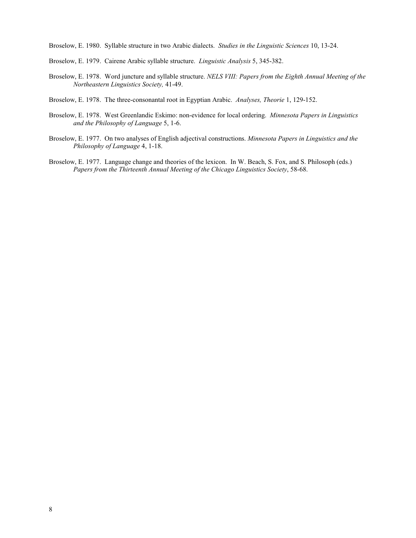Broselow, E. 1980. Syllable structure in two Arabic dialects. *Studies in the Linguistic Sciences* 10, 13-24.

- Broselow, E. 1979. Cairene Arabic syllable structure. *Linguistic Analysis* 5, 345-382.
- Broselow, E. 1978. Word juncture and syllable structure. *NELS VIII: Papers from the Eighth Annual Meeting of the Northeastern Linguistics Society,* 41-49.
- Broselow, E. 1978. The three-consonantal root in Egyptian Arabic. *Analyses, Theorie* 1, 129-152.
- Broselow, E. 1978. West Greenlandic Eskimo: non-evidence for local ordering. *Minnesota Papers in Linguistics and the Philosophy of Language* 5, 1-6.
- Broselow, E. 1977. On two analyses of English adjectival constructions. *Minnesota Papers in Linguistics and the Philosophy of Language* 4, 1-18.
- Broselow, E. 1977. Language change and theories of the lexicon. In W. Beach, S. Fox, and S. Philosoph (eds.) *Papers from the Thirteenth Annual Meeting of the Chicago Linguistics Society*, 58-68.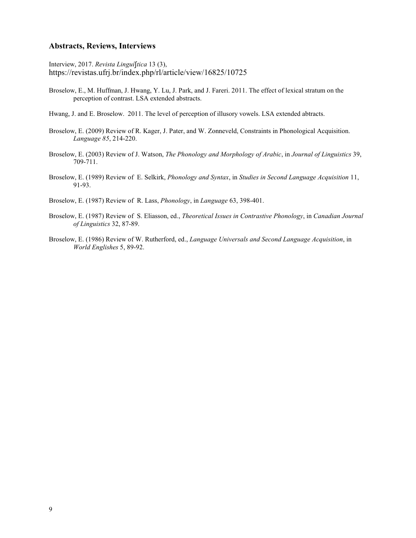### **Abstracts, Reviews, Interviews**

Interview, 2017. *Revista Linguítica* 13 (3), https://revistas.ufrj.br/index.php/rl/article/view/16825/10725

Broselow, E., M. Huffman, J. Hwang, Y. Lu, J. Park, and J. Fareri. 2011. The effect of lexical stratum on the perception of contrast. LSA extended abstracts.

Hwang, J. and E. Broselow. 2011. The level of perception of illusory vowels. LSA extended abtracts.

- Broselow, E. (2009) Review of R. Kager, J. Pater, and W. Zonneveld, Constraints in Phonological Acquisition. *Language 85*, 214-220.
- Broselow, E. (2003) Review of J. Watson, *The Phonology and Morphology of Arabic*, in *Journal of Linguistics* 39, 709-711.
- Broselow, E. (1989) Review of E. Selkirk, *Phonology and Syntax*, in *Studies in Second Language Acquisition* 11, 91-93.

Broselow, E. (1987) Review of R. Lass, *Phonology*, in *Language* 63, 398-401.

- Broselow, E. (1987) Review of S. Eliasson, ed., *Theoretical Issues in Contrastive Phonology*, in *Canadian Journal of Linguistics* 32, 87-89.
- Broselow, E. (1986) Review of W. Rutherford, ed., *Language Universals and Second Language Acquisition*, in *World Englishes* 5, 89-92.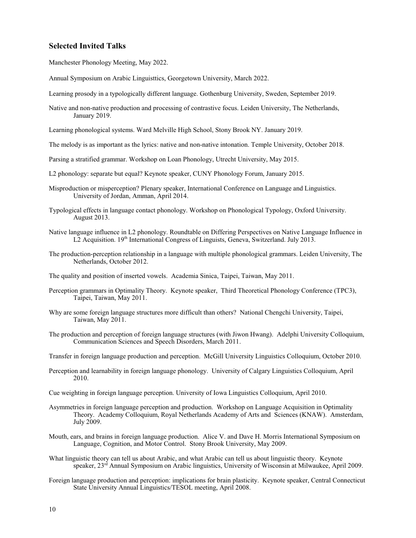# **Selected Invited Talks**

Manchester Phonology Meeting, May 2022.

Annual Symposium on Arabic Linguisttics, Georgetown University, March 2022.

Learning prosody in a typologically different language. Gothenburg University, Sweden, September 2019.

Native and non-native production and processing of contrastive focus. Leiden University, The Netherlands, January 2019.

Learning phonological systems. Ward Melville High School, Stony Brook NY. January 2019.

- The melody is as important as the lyrics: native and non-native intonation. Temple University, October 2018.
- Parsing a stratified grammar. Workshop on Loan Phonology, Utrecht University, May 2015.
- L2 phonology: separate but equal? Keynote speaker, CUNY Phonology Forum, January 2015.
- Misproduction or misperception? Plenary speaker, International Conference on Language and Linguistics. University of Jordan, Amman, April 2014.
- Typological effects in language contact phonology. Workshop on Phonological Typology, Oxford University. August 2013.
- Native language influence in L2 phonology. Roundtable on Differing Perspectives on Native Language Influence in L2 Acquisition. 19<sup>th</sup> International Congress of Linguists, Geneva, Switzerland. July 2013.
- The production-perception relationship in a language with multiple phonological grammars. Leiden University, The Netherlands, October 2012.
- The quality and position of inserted vowels. Academia Sinica, Taipei, Taiwan, May 2011.
- Perception grammars in Optimality Theory. Keynote speaker, Third Theoretical Phonology Conference (TPC3), Taipei, Taiwan, May 2011.
- Why are some foreign language structures more difficult than others? National Chengchi University, Taipei, Taiwan, May 2011.
- The production and perception of foreign language structures (with Jiwon Hwang). Adelphi University Colloquium, Communication Sciences and Speech Disorders, March 2011.

Transfer in foreign language production and perception. McGill University Linguistics Colloquium, October 2010.

- Perception and learnability in foreign language phonology. University of Calgary Linguistics Colloquium, April 2010.
- Cue weighting in foreign language perception. University of Iowa Linguistics Colloquium, April 2010.
- Asymmetries in foreign language perception and production. Workshop on Language Acquisition in Optimality Theory. Academy Colloquium, Royal Netherlands Academy of Arts and Sciences (KNAW). Amsterdam, July 2009.
- Mouth, ears, and brains in foreign language production. Alice V. and Dave H. Morris International Symposium on Language, Cognition, and Motor Control. Stony Brook University, May 2009.
- What linguistic theory can tell us about Arabic, and what Arabic can tell us about linguistic theory. Keynote speaker, 23<sup>rd</sup> Annual Symposium on Arabic linguistics, University of Wisconsin at Milwaukee, April 2009.
- Foreign language production and perception: implications for brain plasticity. Keynote speaker, Central Connecticut State University Annual Linguistics/TESOL meeting, April 2008.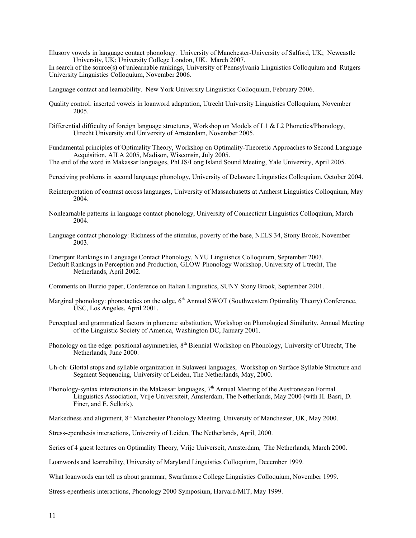Illusory vowels in language contact phonology. University of Manchester-University of Salford, UK; Newcastle University, UK; University College London, UK. March 2007.

In search of the source(s) of unlearnable rankings, University of Pennsylvania Linguistics Colloquium and Rutgers University Linguistics Colloquium, November 2006.

Language contact and learnability. New York University Linguistics Colloquium, February 2006.

- Quality control: inserted vowels in loanword adaptation, Utrecht University Linguistics Colloquium, November 2005.
- Differential difficulty of foreign language structures, Workshop on Models of L1 & L2 Phonetics/Phonology, Utrecht University and University of Amsterdam, November 2005.
- Fundamental principles of Optimality Theory, Workshop on Optimality-Theoretic Approaches to Second Language Acquisition, AILA 2005, Madison, Wisconsin, July 2005.

The end of the word in Makassar languages, PhLIS/Long Island Sound Meeting, Yale University, April 2005.

Perceiving problems in second language phonology, University of Delaware Linguistics Colloquium, October 2004.

- Reinterpretation of contrast across languages, University of Massachusetts at Amherst Linguistics Colloquium, May 2004.
- Nonlearnable patterns in language contact phonology, University of Connecticut Linguistics Colloquium, March 2004.
- Language contact phonology: Richness of the stimulus, poverty of the base, NELS 34, Stony Brook, November 2003.

Emergent Rankings in Language Contact Phonology, NYU Linguistics Colloquium, September 2003. Default Rankings in Perception and Production, GLOW Phonology Workshop, University of Utrecht, The Netherlands, April 2002.

Comments on Burzio paper, Conference on Italian Linguistics, SUNY Stony Brook, September 2001.

- Marginal phonology: phonotactics on the edge, 6<sup>th</sup> Annual SWOT (Southwestern Optimality Theory) Conference, USC, Los Angeles, April 2001.
- Perceptual and grammatical factors in phoneme substitution, Workshop on Phonological Similarity, Annual Meeting of the Linguistic Society of America, Washington DC, January 2001.
- Phonology on the edge: positional asymmetries,  $8<sup>th</sup>$  Biennial Workshop on Phonology, University of Utrecht, The Netherlands, June 2000.
- Uh-oh: Glottal stops and syllable organization in Sulawesi languages, Workshop on Surface Syllable Structure and Segment Sequencing, University of Leiden, The Netherlands, May, 2000.
- Phonology-syntax interactions in the Makassar languages,  $7<sup>th</sup>$  Annual Meeting of the Austronesian Formal Linguistics Association, Vrije Universiteit, Amsterdam, The Netherlands, May 2000 (with H. Basri, D. Finer, and E. Selkirk).

Markedness and alignment, 8<sup>th</sup> Manchester Phonology Meeting, University of Manchester, UK, May 2000.

Stress-epenthesis interactions, University of Leiden, The Netherlands, April, 2000.

Series of 4 guest lectures on Optimality Theory, Vrije Universeit, Amsterdam, The Netherlands, March 2000.

Loanwords and learnability, University of Maryland Linguistics Colloquium, December 1999.

What loanwords can tell us about grammar, Swarthmore College Linguistics Colloquium, November 1999.

Stress-epenthesis interactions, Phonology 2000 Symposium, Harvard/MIT, May 1999.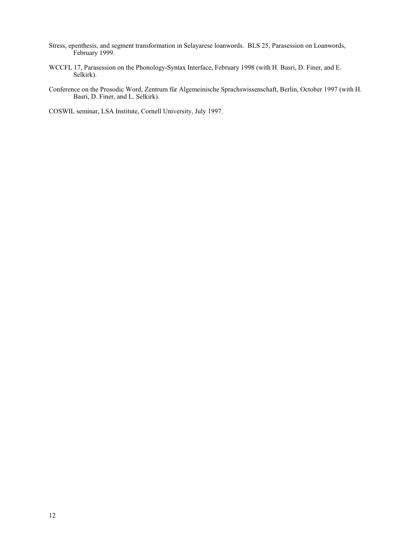- Stress, epenthesis, and segment transformation in Selayarese loanwords. BLS 25, Parasession on Loanwords, February 1999.
- WCCFL 17, Parasession on the Phonology-Syntax Interface, February 1998 (with H. Basri, D. Finer, and E. Selkirk).
- Conference on the Prosodic Word, Zentrum für Algemeinische Sprachswissenschaft, Berlin, October 1997 (with H. Basri, D. Finer, and L. Selkirk).

COSWIL seminar, LSA Institute, Cornell University, July 1997.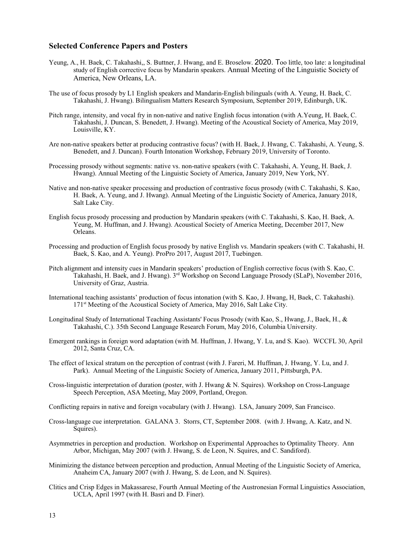### **Selected Conference Papers and Posters**

- Yeung, A., H. Baek, C. Takahashi,, S. Buttner, J. Hwang, and E. Broselow. 2020. Too little, too late: a longitudinal study of English corrective focus by Mandarin speakers. Annual Meeting of the Linguistic Society of America, New Orleans, LA.
- The use of focus prosody by L1 English speakers and Mandarin-English bilinguals (with A. Yeung, H. Baek, C. Takahashi, J. Hwang). Bilingualism Matters Research Symposium, September 2019, Edinburgh, UK.
- Pitch range, intensity, and vocal fry in non-native and native English focus intonation (with A.Yeung, H. Baek, C. Takahashi, J. Duncan, S. Benedett, J. Hwang). Meeting of the Acoustical Society of America, May 2019, Louisville, KY.
- Are non-native speakers better at producing contrastive focus? (with H. Baek, J. Hwang, C. Takahashi, A. Yeung, S. Benedett, and J. Duncan). Fourth Intonation Workshop, February 2019, University of Toronto.
- Processing prosody without segments: native vs. non-native speakers (with C. Takahashi, A. Yeung, H. Baek, J. Hwang). Annual Meeting of the Linguistic Society of America, January 2019, New York, NY.
- Native and non-native speaker processing and production of contrastive focus prosody (with C. Takahashi, S. Kao, H. Baek, A. Yeung, and J. Hwang). Annual Meeting of the Linguistic Society of America, January 2018, Salt Lake City.
- English focus prosody processing and production by Mandarin speakers (with C. Takahashi, S. Kao, H. Baek, A. Yeung, M. Huffman, and J. Hwang). Acoustical Society of America Meeting, December 2017, New Orleans.
- Processing and production of English focus prosody by native English vs. Mandarin speakers (with C. Takahashi, H. Baek, S. Kao, and A. Yeung). ProPro 2017, August 2017, Tuebingen.
- Pitch alignment and intensity cues in Mandarin speakers' production of English corrective focus (with S. Kao, C. Takahashi, H. Baek, and J. Hwang). 3rd Workshop on Second Language Prosody (SLaP), November 2016, University of Graz, Austria.
- International teaching assistants' production of focus intonation (with S. Kao, J. Hwang, H, Baek, C. Takahashi). 171<sup>st</sup> Meeting of the Acoustical Society of America, May 2016, Salt Lake City.
- Longitudinal Study of International Teaching Assistants' Focus Prosody (with Kao, S., Hwang, J., Baek, H., & Takahashi, C.). 35th Second Language Research Forum, May 2016, Columbia University.
- Emergent rankings in foreign word adaptation (with M. Huffman, J. Hwang, Y. Lu, and S. Kao). WCCFL 30, April 2012, Santa Cruz, CA.
- The effect of lexical stratum on the perception of contrast (with J. Fareri, M. Huffman, J. Hwang, Y. Lu, and J. Park). Annual Meeting of the Linguistic Society of America, January 2011, Pittsburgh, PA.
- Cross-linguistic interpretation of duration (poster, with J. Hwang & N. Squires). Workshop on Cross-Language Speech Perception, ASA Meeting, May 2009, Portland, Oregon.

Conflicting repairs in native and foreign vocabulary (with J. Hwang). LSA, January 2009, San Francisco.

- Cross-language cue interpretation. GALANA 3. Storrs, CT, September 2008. (with J. Hwang, A. Katz, and N. Squires).
- Asymmetries in perception and production. Workshop on Experimental Approaches to Optimality Theory. Ann Arbor, Michigan, May 2007 (with J. Hwang, S. de Leon, N. Squires, and C. Sandiford).
- Minimizing the distance between perception and production, Annual Meeting of the Linguistic Society of America, Anaheim CA, January 2007 (with J. Hwang, S. de Leon, and N. Squires).
- Clitics and Crisp Edges in Makassarese, Fourth Annual Meeting of the Austronesian Formal Linguistics Association, UCLA, April 1997 (with H. Basri and D. Finer).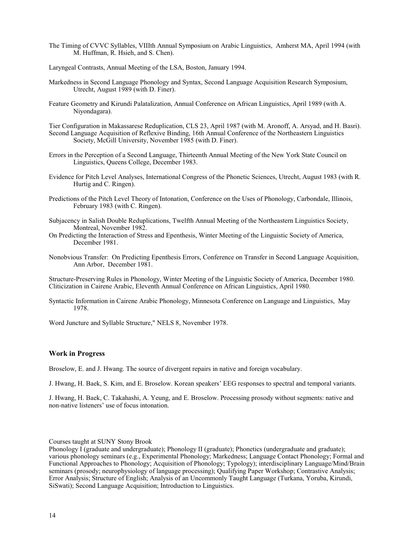The Timing of CVVC Syllables, VIIIth Annual Symposium on Arabic Linguistics, Amherst MA, April 1994 (with M. Huffman, R. Hsieh, and S. Chen).

Laryngeal Contrasts, Annual Meeting of the LSA, Boston, January 1994.

- Markedness in Second Language Phonology and Syntax, Second Language Acquisition Research Symposium, Utrecht, August 1989 (with D. Finer).
- Feature Geometry and Kirundi Palatalization, Annual Conference on African Linguistics, April 1989 (with A. Niyondagara).

Tier Configuration in Makassarese Reduplication, CLS 23, April 1987 (with M. Aronoff, A. Arsyad, and H. Basri). Second Language Acquisition of Reflexive Binding, 16th Annual Conference of the Northeastern Linguistics Society, McGill University, November 1985 (with D. Finer).

- Errors in the Perception of a Second Language, Thirteenth Annual Meeting of the New York State Council on Linguistics, Queens College, December 1983.
- Evidence for Pitch Level Analyses, International Congress of the Phonetic Sciences, Utrecht, August 1983 (with R. Hurtig and C. Ringen).
- Predictions of the Pitch Level Theory of Intonation, Conference on the Uses of Phonology, Carbondale, Illinois, February 1983 (with C. Ringen).
- Subjacency in Salish Double Reduplications, Twelfth Annual Meeting of the Northeastern Linguistics Society, Montreal, November 1982.
- On Predicting the Interaction of Stress and Epenthesis, Winter Meeting of the Linguistic Society of America, December 1981.
- Nonobvious Transfer: On Predicting Epenthesis Errors, Conference on Transfer in Second Language Acquisition, Ann Arbor, December 1981.

Structure-Preserving Rules in Phonology, Winter Meeting of the Linguistic Society of America, December 1980. Cliticization in Cairene Arabic, Eleventh Annual Conference on African Linguistics, April 1980.

Syntactic Information in Cairene Arabic Phonology, Minnesota Conference on Language and Linguistics, May 1978.

Word Juncture and Syllable Structure," NELS 8, November 1978.

### **Work in Progress**

Broselow, E. and J. Hwang. The source of divergent repairs in native and foreign vocabulary.

J. Hwang, H. Baek, S. Kim, and E. Broselow. Korean speakers' EEG responses to spectral and temporal variants.

J. Hwang, H. Baek, C. Takahashi, A. Yeung, and E. Broselow. Processing prosody without segments: native and non-native listeners' use of focus intonation.

Courses taught at SUNY Stony Brook

Phonology I (graduate and undergraduate); Phonology II (graduate); Phonetics (undergraduate and graduate); various phonology seminars (e.g., Experimental Phonology; Markedness; Language Contact Phonology; Formal and Functional Approaches to Phonology; Acquisition of Phonology; Typology); interdisciplinary Language/Mind/Brain seminars (prosody; neurophysiology of language processing); Qualifying Paper Workshop; Contrastive Analysis; Error Analysis; Structure of English; Analysis of an Uncommonly Taught Language (Turkana, Yoruba, Kirundi, SiSwati); Second Language Acquisition; Introduction to Linguistics.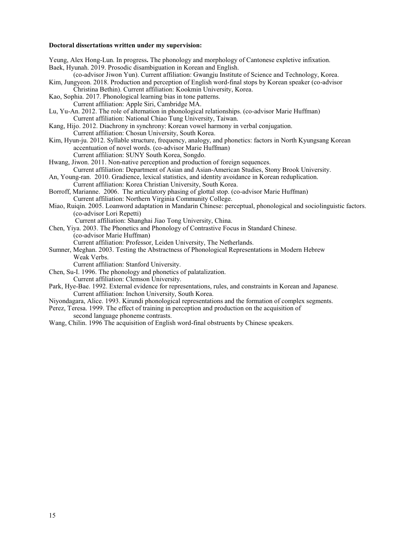#### **Doctoral dissertations written under my supervision:**

Yeung, Alex Hong-Lun. In progress**.** The phonology and morphology of Cantonese expletive infixation. Baek, Hyunah. 2019. Prosodic disambiguation in Korean and English. (co-advisor Jiwon Yun). Current affiliation: Gwangju Institute of Science and Technology, Korea. Kim, Jungyeon. 2018. Production and perception of English word-final stops by Korean speaker (co-advisor Christina Bethin). Current affiliation: Kookmin University, Korea. Kao, Sophia. 2017. Phonological learning bias in tone patterns. Current affiliation: Apple Siri, Cambridge MA. Lu, Yu-An. 2012. The role of alternation in phonological relationships. (co-advisor Marie Huffman) Current affiliation: National Chiao Tung University, Taiwan. Kang, Hijo. 2012. Diachrony in synchrony: Korean vowel harmony in verbal conjugation. Current affiliation: Chosun University, South Korea. Kim, Hyun-ju. 2012. Syllable structure, frequency, analogy, and phonetics: factors in North Kyungsang Korean accentuation of novel words. (co-advisor Marie Huffman) Current affiliation: SUNY South Korea, Songdo. Hwang, Jiwon. 2011. Non-native perception and production of foreign sequences. Current affiliation: Department of Asian and Asian-American Studies, Stony Brook University. An, Young-ran. 2010. Gradience, lexical statistics, and identity avoidance in Korean reduplication. Current affiliation: Korea Christian University, South Korea. Borroff, Marianne. 2006. The articulatory phasing of glottal stop. (co-advisor Marie Huffman) Current affiliation: Northern Virginia Community College. Miao, Ruiqin. 2005. Loanword adaptation in Mandarin Chinese: perceptual, phonological and sociolinguistic factors. (co-advisor Lori Repetti) Current affiliation: Shanghai Jiao Tong University, China. Chen, Yiya. 2003. The Phonetics and Phonology of Contrastive Focus in Standard Chinese. (co-advisor Marie Huffman) Current affiliation: Professor, Leiden University, The Netherlands. Sumner, Meghan. 2003. Testing the Abstractness of Phonological Representations in Modern Hebrew Weak Verbs. Current affiliation: Stanford University. Chen, Su-I. 1996. The phonology and phonetics of palatalization. Current affiliation: Clemson University. Park, Hye-Bae. 1992. External evidence for representations, rules, and constraints in Korean and Japanese. Current affiliation: Inchon University, South Korea. Niyondagara, Alice. 1993. Kirundi phonological representations and the formation of complex segments.

Perez, Teresa. 1999. The effect of training in perception and production on the acquisition of

second language phoneme contrasts.

Wang, Chilin. 1996 The acquisition of English word-final obstruents by Chinese speakers.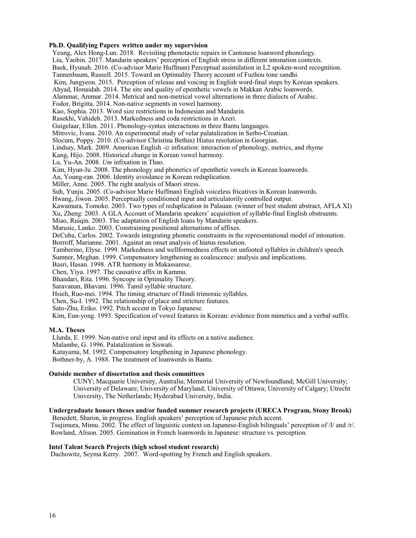#### **Ph.D. Qualifying Papers written under my supervision**

 Yeung, Alex Hong-Lun. 2018. Revisiting phonotactic repairs in Cantonese loanword phonology. Liu, Yaobin. 2017. Mandarin speakers' perception of English stress in different intonation contexts. Baek, Hyunah. 2016. (Co-advisor Marie Huffman) Perceptual assimilation in L2 spoken-word recognition. Tannenbaum, Russell. 2015. Toward an Optimality Theory account of Fuzhou tone sandhi. Kim, Jungyeon. 2015. Perception of release and voicing in English word-final stops by Korean speakers. Ahyad, Honaidah. 2014. The site and quality of epenthetic vowels in Makkan Arabic loanwords. Alammar, Ammar. 2014. Metrical and non-metrical vowel alternations in three dialects of Arabic. Fodor, Brigitta. 2014. Non-native segments in vowel harmony. Kao, Sophia. 2013. Word size restrictions in Indonesian and Mandarin. Rasekhi, Vahideh. 2013. Markedness and coda restrictions in Azeri. Guigelaar, Ellen. 2011. Phonology-syntax interactions in three Bantu languages. Mitrovic, Ivana. 2010. An experimental study of velar palatalization in Serbo-Croatian. Slocum, Poppy. 2010. (Co-advisor Christina Bethin) Hiatus resolution in Georgian. Lindsay, Mark. 2009. American English *-iz* infixation: interaction of phonology, metrics, and rhyme Kang, Hijo. 2008. Historical change in Korean vowel harmony. Lu, Yu-An. 2008. *Um* infixation in Thao. Kim, Hyun-Ju .2008. The phonology and phonetics of epenthetic vowels in Korean loanwords. An, Young-ran. 2006. Identity avoidance in Korean reduplication. Miller, Anne. 2005. The right analysis of Maori stress. Suh, Yunju. 2005. (Co-advisor Marie Huffman) English voiceless fricatives in Korean loanwords. Hwang, Jiwon. 2005. Perceptually conditioned input and articulatorily controlled output. Kawamura, Tomoko. 2003. Two types of reduplication in Palauan. (winner of best student abstract, AFLA XI) Xu, Zheng: 2003. A GLA Account of Mandarin speakers' acquisition of syllable-final English obstruents. Miao, Ruiqin. 2003. The adaptation of English loans by Mandarin speakers. Marusic, Lanko. 2003. Constraining positional alternations of affixes. DeCuba, Carlos. 2002. Towards integrating phonetic constraints in the representational model of intonation. Borroff, Marianne. 2001. Against an onset analysis of hiatus resolution. Tamberino, Elyse. 1999. Markedness and wellformedness effects on unfooted syllables in children's speech. Sumner, Meghan. 1999. Compensatory lengthening as coalescence: analysis and implications. Basri, Hasan. 1998. ATR harmony in Makassarese. Chen, Yiya. 1997. The causative affix in Kammu. Bhandari, Rita. 1996. Syncope in Optimality Theory. Saravanan, Bhavani. 1996. Tamil syllable structure. Hsieh, Ruo-mei. 1994. The timing structure of Hindi trimoraic syllables. Chen, Su-I. 1992. The relationship of place and stricture features. Sato-Zhu, Eriko. 1992. Pitch accent in Tokyo Japanese. Kim, Eun-yong. 1993. Specification of vowel features in Korean: evidence from mimetics and a verbal suffix.

### **M.A. Theses**

Llurda, E. 1999. Non-native oral input and its effects on a native audience.

Malambe, G. 1996. Palatalization in Siswati.

Katayama, M. 1992. Compensatory lengthening in Japanese phonology.

Bothner-by, A. 1988. The treatment of loanwords in Bantu.

### **Outside member of dissertation and thesis committees**

CUNY; Macquarie University, Australia; Memorial University of Newfoundland; McGill University; University of Delaware; University of Maryland; University of Ottawa; University of Calgary; Utrecht University, The Netherlands; Hyderabad University, India.

### **Undergraduate honors theses and/or funded summer research projects (URECA Program, Stony Brook)**

 Benedett, Sharon, in progress. English speakers' perception of Japanese pitch accent. Tsujimura, Mimu. 2002. The effect of linguistic context on Japanese-English bilinguals' perception of /l/ and /r/. Rowland, Alison. 2005. Gemination in French loanwords in Japanese: structure vs. perception.

#### **Intel Talent Search Projects (high school student research)**

Dachowitz, Seyma Kerry. 2007. Word-spotting by French and English speakers.